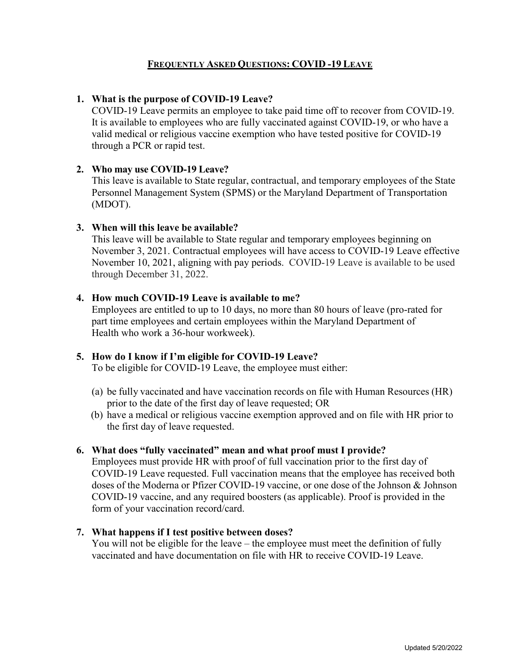# **FREQUENTLY ASKED QUESTIONS: COVID -19 LEAVE**

## **1. What is the purpose of COVID-19 Leave?**

COVID-19 Leave permits an employee to take paid time off to recover from COVID-19. It is available to employees who are fully vaccinated against COVID-19, or who have a valid medical or religious vaccine exemption who have tested positive for COVID-19 through a PCR or rapid test.

## **2. Who may use COVID-19 Leave?**

This leave is available to State regular, contractual, and temporary employees of the State Personnel Management System (SPMS) or the Maryland Department of Transportation (MDOT).

## **3. When will this leave be available?**

This leave will be available to State regular and temporary employees beginning on November 3, 2021. Contractual employees will have access to COVID-19 Leave effective November 10, 2021, aligning with pay periods. COVID-19 Leave is available to be used through December 31, 2022.

## **4. How much COVID-19 Leave is available to me?**

Employees are entitled to up to 10 days, no more than 80 hours of leave (pro-rated for part time employees and certain employees within the Maryland Department of Health who work a 36-hour workweek).

## **5. How do I know if I'm eligible for COVID-19 Leave?**

To be eligible for COVID-19 Leave, the employee must either:

- (a) be fully vaccinated and have vaccination records on file with Human Resources (HR) prior to the date of the first day of leave requested; OR
- (b) have a medical or religious vaccine exemption approved and on file with HR prior to the first day of leave requested.

## **6. What does "fully vaccinated" mean and what proof must I provide?**

Employees must provide HR with proof of full vaccination prior to the first day of COVID-19 Leave requested. Full vaccination means that the employee has received both doses of the Moderna or Pfizer COVID-19 vaccine, or one dose of the Johnson & Johnson COVID-19 vaccine, and any required boosters (as applicable). Proof is provided in the form of your vaccination record/card.

#### **7. What happens if I test positive between doses?**

You will not be eligible for the leave – the employee must meet the definition of fully vaccinated and have documentation on file with HR to receive COVID-19 Leave.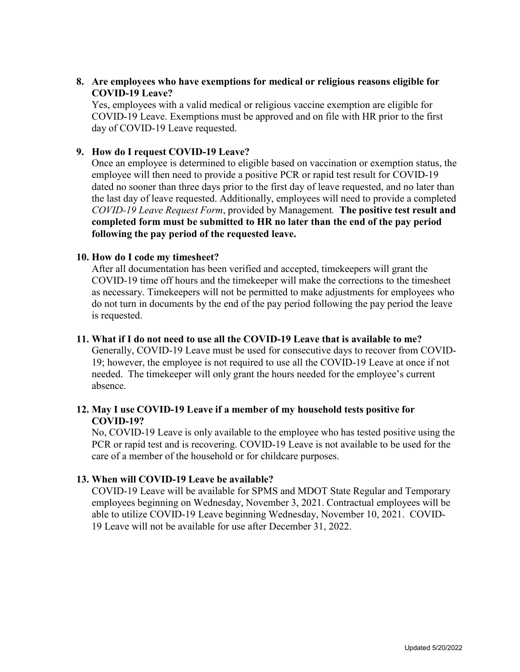# **8. Are employees who have exemptions for medical or religious reasons eligible for COVID-19 Leave?**

Yes, employees with a valid medical or religious vaccine exemption are eligible for COVID-19 Leave. Exemptions must be approved and on file with HR prior to the first day of COVID-19 Leave requested.

# **9. How do I request COVID-19 Leave?**

Once an employee is determined to eligible based on vaccination or exemption status, the employee will then need to provide a positive PCR or rapid test result for COVID-19 dated no sooner than three days prior to the first day of leave requested, and no later than the last day of leave requested. Additionally, employees will need to provide a completed *COVID-19 Leave Request Form*, provided by Management*.* **The positive test result and completed form must be submitted to HR no later than the end of the pay period following the pay period of the requested leave.**

## **10. How do I code my timesheet?**

After all documentation has been verified and accepted, timekeepers will grant the COVID-19 time off hours and the timekeeper will make the corrections to the timesheet as necessary. Timekeepers will not be permitted to make adjustments for employees who do not turn in documents by the end of the pay period following the pay period the leave is requested.

#### **11. What if I do not need to use all the COVID-19 Leave that is available to me?**

Generally, COVID-19 Leave must be used for consecutive days to recover from COVID-19; however, the employee is not required to use all the COVID-19 Leave at once if not needed. The timekeeper will only grant the hours needed for the employee's current absence.

# **12. May I use COVID-19 Leave if a member of my household tests positive for COVID-19?**

No, COVID-19 Leave is only available to the employee who has tested positive using the PCR or rapid test and is recovering. COVID-19 Leave is not available to be used for the care of a member of the household or for childcare purposes.

## **13. When will COVID-19 Leave be available?**

COVID-19 Leave will be available for SPMS and MDOT State Regular and Temporary employees beginning on Wednesday, November 3, 2021. Contractual employees will be able to utilize COVID-19 Leave beginning Wednesday, November 10, 2021. COVID-19 Leave will not be available for use after December 31, 2022.